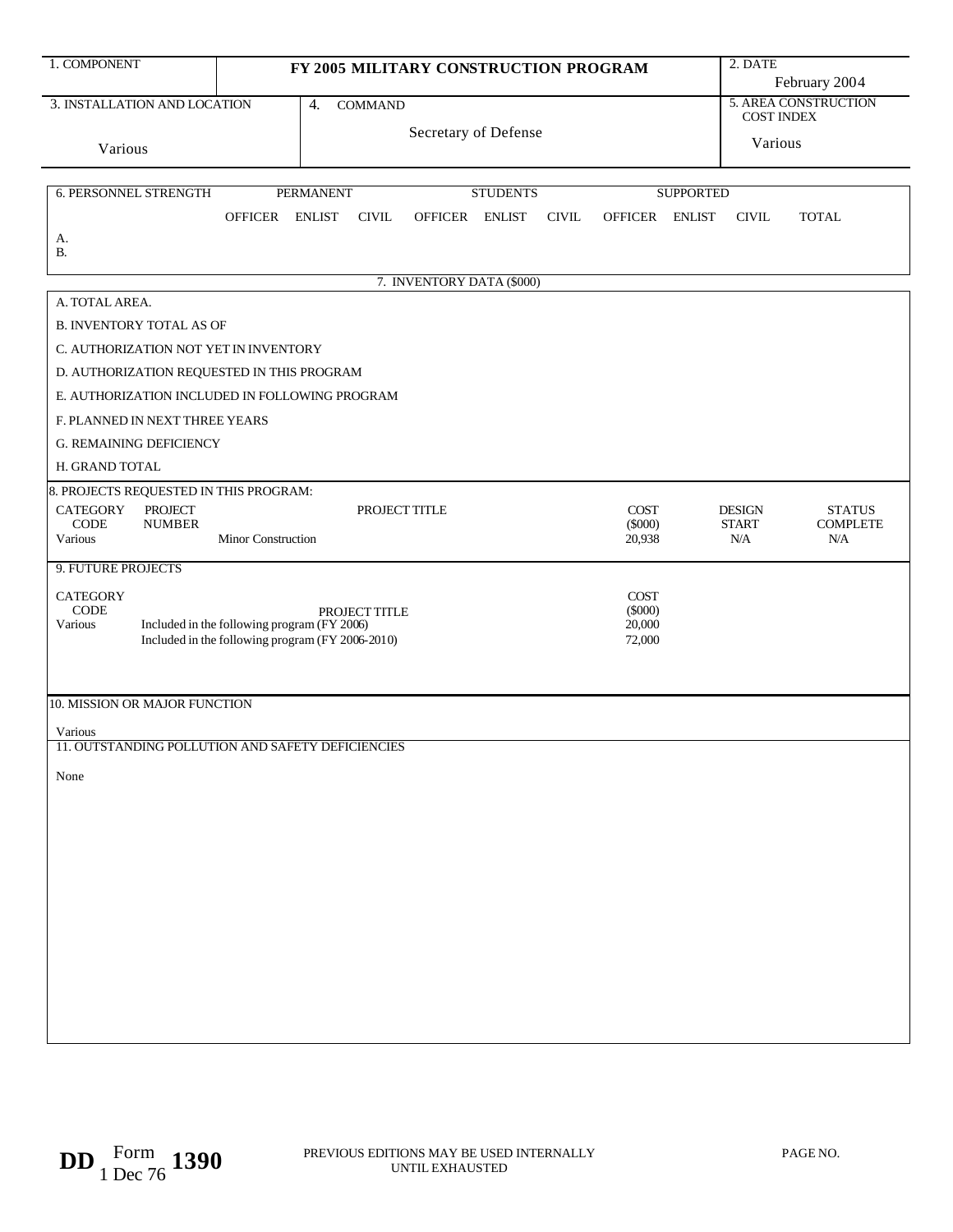| 1. COMPONENT<br>FY 2005 MILITARY CONSTRUCTION PROGRAM                    |                                                            |                                             |                                                   |                      |                 |              |                     | 2. DATE          |                     |                                           |  |
|--------------------------------------------------------------------------|------------------------------------------------------------|---------------------------------------------|---------------------------------------------------|----------------------|-----------------|--------------|---------------------|------------------|---------------------|-------------------------------------------|--|
|                                                                          |                                                            |                                             |                                                   |                      |                 |              |                     |                  | February 2004       |                                           |  |
| 3. INSTALLATION AND LOCATION                                             |                                                            |                                             | $\overline{4}$ .<br><b>COMMAND</b>                |                      |                 |              |                     |                  |                     | 5. AREA CONSTRUCTION<br><b>COST INDEX</b> |  |
|                                                                          |                                                            |                                             |                                                   | Secretary of Defense |                 |              |                     |                  | Various             |                                           |  |
| Various                                                                  |                                                            |                                             |                                                   |                      |                 |              |                     |                  |                     |                                           |  |
|                                                                          |                                                            |                                             |                                                   |                      |                 |              |                     |                  |                     |                                           |  |
| 6. PERSONNEL STRENGTH                                                    |                                                            |                                             | <b>PERMANENT</b>                                  |                      | <b>STUDENTS</b> |              |                     | <b>SUPPORTED</b> |                     |                                           |  |
|                                                                          |                                                            | OFFICER ENLIST                              | <b>CIVIL</b>                                      | OFFICER ENLIST       |                 | <b>CIVIL</b> | OFFICER ENLIST      |                  | <b>CIVIL</b>        | <b>TOTAL</b>                              |  |
| А.<br><b>B.</b>                                                          |                                                            |                                             |                                                   |                      |                 |              |                     |                  |                     |                                           |  |
| 7. INVENTORY DATA (\$000)                                                |                                                            |                                             |                                                   |                      |                 |              |                     |                  |                     |                                           |  |
| A. TOTAL AREA.                                                           |                                                            |                                             |                                                   |                      |                 |              |                     |                  |                     |                                           |  |
|                                                                          |                                                            |                                             |                                                   |                      |                 |              |                     |                  |                     |                                           |  |
| <b>B. INVENTORY TOTAL AS OF</b><br>C. AUTHORIZATION NOT YET IN INVENTORY |                                                            |                                             |                                                   |                      |                 |              |                     |                  |                     |                                           |  |
|                                                                          | D. AUTHORIZATION REQUESTED IN THIS PROGRAM                 |                                             |                                                   |                      |                 |              |                     |                  |                     |                                           |  |
|                                                                          |                                                            |                                             | E. AUTHORIZATION INCLUDED IN FOLLOWING PROGRAM    |                      |                 |              |                     |                  |                     |                                           |  |
| F. PLANNED IN NEXT THREE YEARS                                           |                                                            |                                             |                                                   |                      |                 |              |                     |                  |                     |                                           |  |
|                                                                          |                                                            |                                             |                                                   |                      |                 |              |                     |                  |                     |                                           |  |
| H. GRAND TOTAL                                                           | <b>G. REMAINING DEFICIENCY</b>                             |                                             |                                                   |                      |                 |              |                     |                  |                     |                                           |  |
| 8. PROJECTS REQUESTED IN THIS PROGRAM:                                   |                                                            |                                             |                                                   |                      |                 |              |                     |                  |                     |                                           |  |
| <b>CATEGORY</b>                                                          | <b>PROJECT</b>                                             |                                             | PROJECT TITLE                                     |                      |                 |              | <b>COST</b>         |                  | <b>DESIGN</b>       | <b>STATUS</b>                             |  |
| $\rm{CODE}$<br>Various                                                   | <b>NUMBER</b>                                              | Minor Construction                          |                                                   |                      |                 |              | $(\$000)$           |                  | <b>START</b><br>N/A | <b>COMPLETE</b>                           |  |
|                                                                          |                                                            |                                             |                                                   |                      |                 |              | 20,938              |                  |                     | N/A                                       |  |
| 9. FUTURE PROJECTS                                                       |                                                            |                                             |                                                   |                      |                 |              |                     |                  |                     |                                           |  |
| <b>CATEGORY</b>                                                          |                                                            |                                             |                                                   |                      |                 |              | COST                |                  |                     |                                           |  |
| $\rm{CODE}$<br>Various                                                   |                                                            | Included in the following program (FY 2006) | PROJECT TITLE                                     |                      |                 |              | $(\$000)$<br>20,000 |                  |                     |                                           |  |
|                                                                          | Included in the following program (FY 2006-2010)<br>72,000 |                                             |                                                   |                      |                 |              |                     |                  |                     |                                           |  |
|                                                                          |                                                            |                                             |                                                   |                      |                 |              |                     |                  |                     |                                           |  |
| 10. MISSION OR MAJOR FUNCTION                                            |                                                            |                                             |                                                   |                      |                 |              |                     |                  |                     |                                           |  |
|                                                                          |                                                            |                                             |                                                   |                      |                 |              |                     |                  |                     |                                           |  |
| Various                                                                  |                                                            |                                             | 11. OUTSTANDING POLLUTION AND SAFETY DEFICIENCIES |                      |                 |              |                     |                  |                     |                                           |  |
|                                                                          |                                                            |                                             |                                                   |                      |                 |              |                     |                  |                     |                                           |  |
| None                                                                     |                                                            |                                             |                                                   |                      |                 |              |                     |                  |                     |                                           |  |
|                                                                          |                                                            |                                             |                                                   |                      |                 |              |                     |                  |                     |                                           |  |
|                                                                          |                                                            |                                             |                                                   |                      |                 |              |                     |                  |                     |                                           |  |
|                                                                          |                                                            |                                             |                                                   |                      |                 |              |                     |                  |                     |                                           |  |
|                                                                          |                                                            |                                             |                                                   |                      |                 |              |                     |                  |                     |                                           |  |
|                                                                          |                                                            |                                             |                                                   |                      |                 |              |                     |                  |                     |                                           |  |
|                                                                          |                                                            |                                             |                                                   |                      |                 |              |                     |                  |                     |                                           |  |
|                                                                          |                                                            |                                             |                                                   |                      |                 |              |                     |                  |                     |                                           |  |
|                                                                          |                                                            |                                             |                                                   |                      |                 |              |                     |                  |                     |                                           |  |
|                                                                          |                                                            |                                             |                                                   |                      |                 |              |                     |                  |                     |                                           |  |
|                                                                          |                                                            |                                             |                                                   |                      |                 |              |                     |                  |                     |                                           |  |
|                                                                          |                                                            |                                             |                                                   |                      |                 |              |                     |                  |                     |                                           |  |